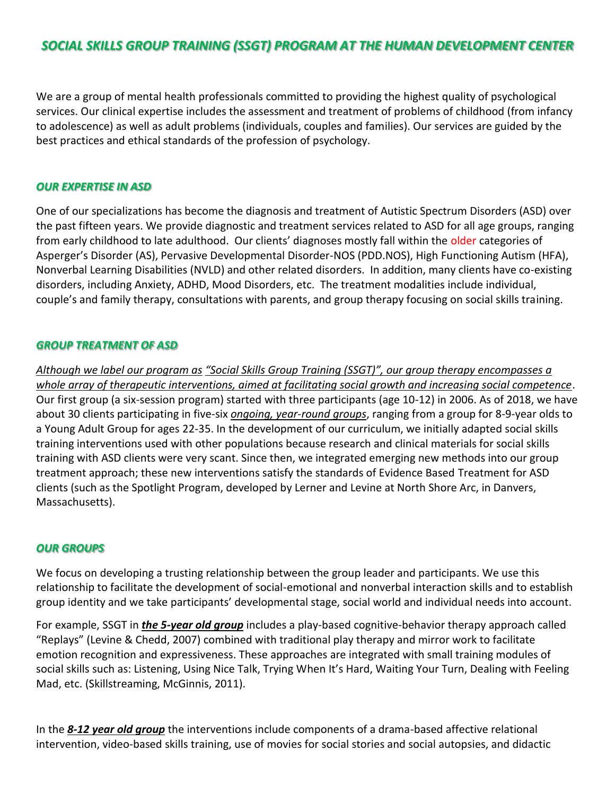# *SOCIAL SKILLS GROUP TRAINING (SSGT) PROGRAM AT THE HUMAN DEVELOPMENT CENTER*

We are a group of mental health professionals committed to providing the highest quality of psychological services. Our clinical expertise includes the assessment and treatment of problems of childhood (from infancy to adolescence) as well as adult problems (individuals, couples and families). Our services are guided by the best practices and ethical standards of the profession of psychology.

#### *OUR EXPERTISE IN ASD*

One of our specializations has become the diagnosis and treatment of Autistic Spectrum Disorders (ASD) over the past fifteen years. We provide diagnostic and treatment services related to ASD for all age groups, ranging from early childhood to late adulthood. Our clients' diagnoses mostly fall within the older categories of Asperger's Disorder (AS), Pervasive Developmental Disorder-NOS (PDD.NOS), High Functioning Autism (HFA), Nonverbal Learning Disabilities (NVLD) and other related disorders. In addition, many clients have co-existing disorders, including Anxiety, ADHD, Mood Disorders, etc. The treatment modalities include individual, couple's and family therapy, consultations with parents, and group therapy focusing on social skills training.

#### *GROUP TREATMENT OF ASD*

*Although we label our program as "Social Skills Group Training (SSGT)", our group therapy encompasses a whole array of therapeutic interventions, aimed at facilitating social growth and increasing social competence*. Our first group (a six-session program) started with three participants (age 10-12) in 2006. As of 2018, we have about 30 clients participating in five-six *ongoing, year-round groups*, ranging from a group for 8-9-year olds to a Young Adult Group for ages 22-35. In the development of our curriculum, we initially adapted social skills training interventions used with other populations because research and clinical materials for social skills training with ASD clients were very scant. Since then, we integrated emerging new methods into our group treatment approach; these new interventions satisfy the standards of Evidence Based Treatment for ASD clients (such as the Spotlight Program, developed by Lerner and Levine at North Shore Arc, in Danvers, Massachusetts).

#### *OUR GROUPS*

We focus on developing a trusting relationship between the group leader and participants. We use this relationship to facilitate the development of social-emotional and nonverbal interaction skills and to establish group identity and we take participants' developmental stage, social world and individual needs into account.

For example, SSGT in *the 5-year old group* includes a play-based cognitive-behavior therapy approach called "Replays" (Levine & Chedd, 2007) combined with traditional play therapy and mirror work to facilitate emotion recognition and expressiveness. These approaches are integrated with small training modules of social skills such as: Listening, Using Nice Talk, Trying When It's Hard, Waiting Your Turn, Dealing with Feeling Mad, etc. (Skillstreaming, McGinnis, 2011).

In the *8-12 year old group* the interventions include components of a drama-based affective relational intervention, video-based skills training, use of movies for social stories and social autopsies, and didactic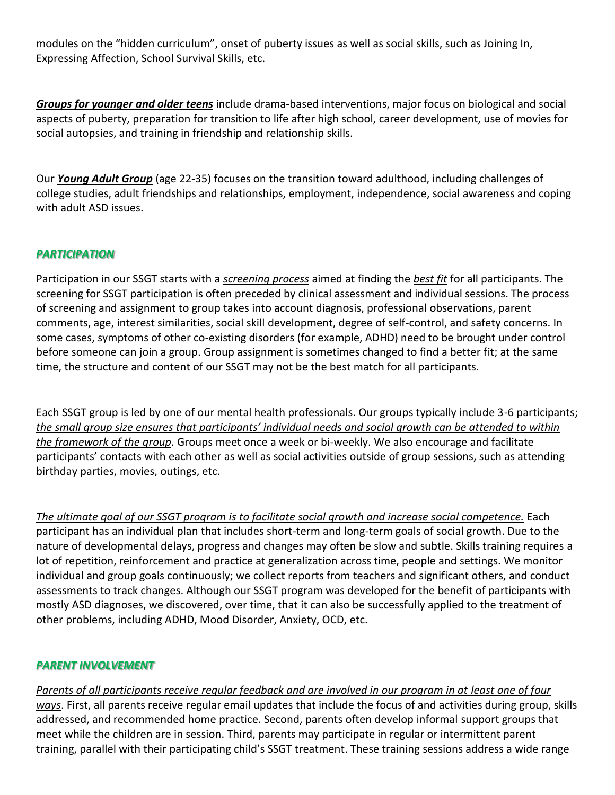modules on the "hidden curriculum", onset of puberty issues as well as social skills, such as Joining In, Expressing Affection, School Survival Skills, etc.

*Groups for younger and older teens* include drama-based interventions, major focus on biological and social aspects of puberty, preparation for transition to life after high school, career development, use of movies for social autopsies, and training in friendship and relationship skills.

Our *Young Adult Group* (age 22-35) focuses on the transition toward adulthood, including challenges of college studies, adult friendships and relationships, employment, independence, social awareness and coping with adult ASD issues.

# *PARTICIPATION*

Participation in our SSGT starts with a *screening process* aimed at finding the *best fit* for all participants. The screening for SSGT participation is often preceded by clinical assessment and individual sessions. The process of screening and assignment to group takes into account diagnosis, professional observations, parent comments, age, interest similarities, social skill development, degree of self-control, and safety concerns. In some cases, symptoms of other co-existing disorders (for example, ADHD) need to be brought under control before someone can join a group. Group assignment is sometimes changed to find a better fit; at the same time, the structure and content of our SSGT may not be the best match for all participants.

Each SSGT group is led by one of our mental health professionals. Our groups typically include 3-6 participants; *the small group size ensures that participants' individual needs and social growth can be attended to within the framework of the group*. Groups meet once a week or bi-weekly. We also encourage and facilitate participants' contacts with each other as well as social activities outside of group sessions, such as attending birthday parties, movies, outings, etc.

*The ultimate goal of our SSGT program is to facilitate social growth and increase social competence.* Each participant has an individual plan that includes short-term and long-term goals of social growth. Due to the nature of developmental delays, progress and changes may often be slow and subtle. Skills training requires a lot of repetition, reinforcement and practice at generalization across time, people and settings. We monitor individual and group goals continuously; we collect reports from teachers and significant others, and conduct assessments to track changes. Although our SSGT program was developed for the benefit of participants with mostly ASD diagnoses, we discovered, over time, that it can also be successfully applied to the treatment of other problems, including ADHD, Mood Disorder, Anxiety, OCD, etc.

## *PARENT INVOLVEMENT*

*Parents of all participants receive regular feedback and are involved in our program in at least one of four ways*. First, all parents receive regular email updates that include the focus of and activities during group, skills addressed, and recommended home practice. Second, parents often develop informal support groups that meet while the children are in session. Third, parents may participate in regular or intermittent parent training, parallel with their participating child's SSGT treatment. These training sessions address a wide range